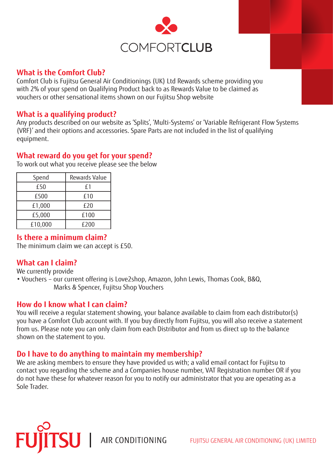

#### **What is the Comfort Club?**

Comfort Club is Fujitsu General Air Conditionings (UK) Ltd Rewards scheme providing you with 2% of your spend on Qualifying Product back to as Rewards Value to be claimed as vouchers or other sensational items shown on our Fujitsu Shop website

#### **What is a qualifying product?**

Any products described on our website as 'Splits', 'Multi-Systems' or 'Variable Refrigerant Flow Systems (VRF)' and their options and accessories. Spare Parts are not included in the list of qualifying equipment.

## **What reward do you get for your spend?**

To work out what you receive please see the below

| Spend   | <b>Rewards Value</b> |
|---------|----------------------|
| £50     | f1                   |
| £500    | £10                  |
| £1,000  | £20                  |
| £5,000  | £100                 |
| £10,000 | £200                 |

## **Is there a minimum claim?**

The minimum claim we can accept is £50.

## **What can I claim?**

We currently provide

• Vouchers – our current offering is Love2shop, Amazon, John Lewis, Thomas Cook, B&Q, Marks & Spencer, Fujitsu Shop Vouchers

#### **How do I know what I can claim?**

You will receive a regular statement showing, your balance available to claim from each distributor(s) you have a Comfort Club account with. If you buy directly from Fujitsu, you will also receive a statement from us. Please note you can only claim from each Distributor and from us direct up to the balance shown on the statement to you.

## **Do I have to do anything to maintain my membership?**

We are asking members to ensure they have provided us with; a valid email contact for Fujitsu to contact you regarding the scheme and a Companies house number, VAT Registration number OR if you do not have these for whatever reason for you to notify our administrator that you are operating as a Sole Trader.